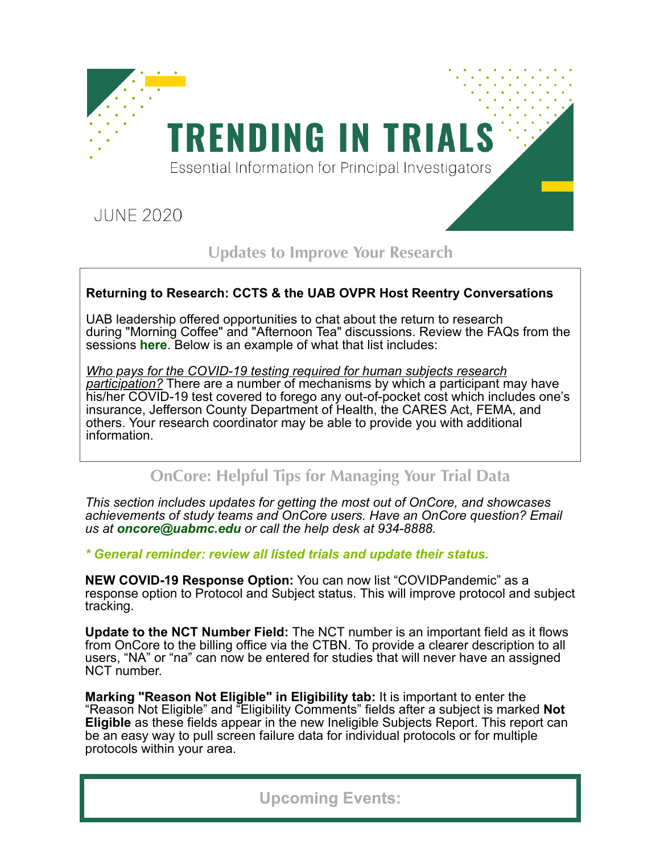

**Updates to Improve Your Research**

## **Returning to Research: CCTS & the UAB OVPR Host Reentry Conversations**

UAB leadership offered opportunities to chat about the return to research during "Morning Coffee" and "Afternoon Tea" discussions. Review the FAQs from the sessions **[here](http://click.reach.uab.edu/?qs=26e50f04c298a5e5970588fdac06da3b6976c6c6a0cc3f153710c44784543bce074e1bcc983b39ca6fcf4727d770d27dedc11b08300cb954df38f63907282bbd)**. Below is an example of what that list includes:

*Who pays for the COVID-19 testing required for human subjects research participation?* There are a number of mechanisms by which a participant may have his/her COVID-19 test covered to forego any out-of-pocket cost which includes one's insurance, Jefferson County Department of Health, the CARES Act, FEMA, and others. Your research coordinator may be able to provide you with additional information.

## **OnCore: Helpful Tips for Managing Your Trial Data**

*This section includes updates for getting the most out of OnCore, and showcases achievements of study teams and OnCore users. Have an OnCore question? Email us at [oncore@uabmc.edu](mailto:oncore@uabmc.edu?subject=) or call the help desk at 934-8888.*

*\* General reminder: review all listed trials and update their status.*

**NEW COVID-19 Response Option:** You can now list "COVIDPandemic" as a response option to Protocol and Subject status. This will improve protocol and subject tracking.

**Update to the NCT Number Field:** The NCT number is an important field as it flows from OnCore to the billing office via the CTBN. To provide a clearer description to all users, "NA" or "na" can now be entered for studies that will never have an assigned NCT number.

**Marking "Reason Not Eligible" in Eligibility tab:** It is important to enter the "Reason Not Eligible" and "Eligibility Comments" fields after a subject is marked **Not Eligible** as these fields appear in the new Ineligible Subjects Report. This report can be an easy way to pull screen failure data for individual protocols or for multiple protocols within your area.

## **Upcoming Events:**